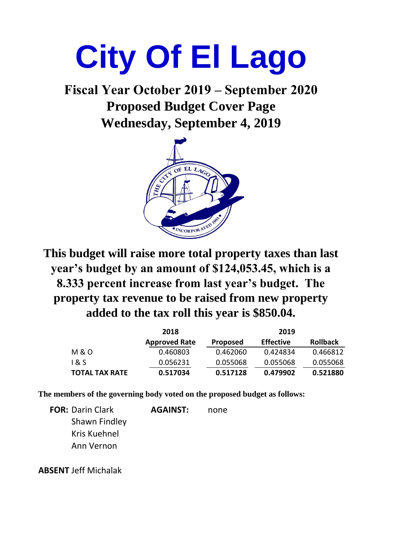# **City Of El Lago**

**Wednesday, September 4, 2019 Fiscal Year October 2019 – September 2020 Proposed Budget Cover Page**



**This budget will raise more total property taxes than last year's budget by an amount of \$124,053.45, which is a 8.333 percent increase from last year's budget. The property tax revenue to be raised from new property added to the tax roll this year is \$850.04.**

|                       | 2018                 |                 | 2019             |                 |  |  |
|-----------------------|----------------------|-----------------|------------------|-----------------|--|--|
|                       | <b>Approved Rate</b> | <b>Proposed</b> | <b>Effective</b> | <b>Rollback</b> |  |  |
| M & O                 | 0.460803             | 0.462060        | 0.424834         | 0.466812        |  |  |
| 1 & S                 | 0.056231             | 0.055068        | 0.055068         | 0.055068        |  |  |
| <b>TOTAL TAX RATE</b> | 0.517034             | 0.517128        | 0.479902         | 0.521880        |  |  |

**The members of the governing body voted on the proposed budget as follows:**

**FOR:** Darin Clark **AGAINST:** none Shawn Findley Kris Kuehnel Ann Vernon

**ABSENT:**Jeff Michalak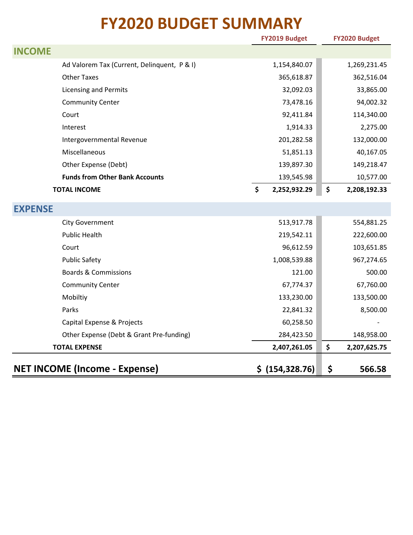### **FY2020 BUDGET SUMMARY**

|                                             | FY2019 Budget      | FY2020 Budget      |
|---------------------------------------------|--------------------|--------------------|
| <b>INCOME</b>                               |                    |                    |
| Ad Valorem Tax (Current, Delinquent, P & I) | 1,154,840.07       | 1,269,231.45       |
| <b>Other Taxes</b>                          | 365,618.87         | 362,516.04         |
| <b>Licensing and Permits</b>                | 32,092.03          | 33,865.00          |
| <b>Community Center</b>                     | 73,478.16          | 94,002.32          |
| Court                                       | 92,411.84          | 114,340.00         |
| Interest                                    | 1,914.33           | 2,275.00           |
| Intergovernmental Revenue                   | 201,282.58         | 132,000.00         |
| Miscellaneous                               | 51,851.13          | 40,167.05          |
| Other Expense (Debt)                        | 139,897.30         | 149,218.47         |
| <b>Funds from Other Bank Accounts</b>       | 139,545.98         | 10,577.00          |
| <b>TOTAL INCOME</b>                         | \$<br>2,252,932.29 | \$<br>2,208,192.33 |
| <b>EXPENSE</b>                              |                    |                    |
| <b>City Government</b>                      | 513,917.78         | 554,881.25         |
| <b>Public Health</b>                        | 219,542.11         | 222,600.00         |
| Court                                       | 96,612.59          | 103,651.85         |
| <b>Public Safety</b>                        | 1,008,539.88       | 967,274.65         |
| <b>Boards &amp; Commissions</b>             | 121.00             | 500.00             |
| <b>Community Center</b>                     | 67,774.37          | 67,760.00          |
| Mobiltiy                                    | 133,230.00         | 133,500.00         |
| Parks                                       | 22,841.32          | 8,500.00           |
| Capital Expense & Projects                  | 60,258.50          |                    |
| Other Expense (Debt & Grant Pre-funding)    | 284,423.50         | 148,958.00         |
| <b>TOTAL EXPENSE</b>                        | 2,407,261.05       | \$<br>2,207,625.75 |
| <b>NET INCOME (Income - Expense)</b>        | \$ (154, 328.76)   | \$<br>566.58       |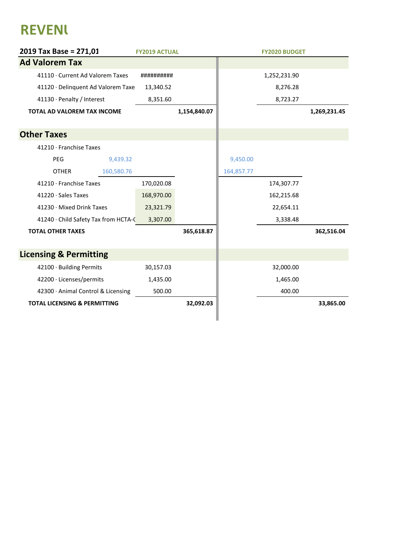## **REVENU**

| 2019 Tax Base = 271,01                  | <b>FY2019 ACTUAL</b> |              |            | <b>FY2020 BUDGET</b> |              |
|-----------------------------------------|----------------------|--------------|------------|----------------------|--------------|
| <b>Ad Valorem Tax</b>                   |                      |              |            |                      |              |
| 41110 · Current Ad Valorem Taxes        | ##########           |              |            | 1,252,231.90         |              |
| 41120 · Delinquent Ad Valorem Taxe      | 13,340.52            |              |            | 8,276.28             |              |
| 41130 · Penalty / Interest              | 8,351.60             |              |            | 8,723.27             |              |
| <b>TOTAL AD VALOREM TAX INCOME</b>      |                      | 1,154,840.07 |            |                      | 1,269,231.45 |
| <b>Other Taxes</b>                      |                      |              |            |                      |              |
| 41210 · Franchise Taxes                 |                      |              |            |                      |              |
| PEG<br>9,439.32                         |                      |              | 9,450.00   |                      |              |
| <b>OTHER</b><br>160,580.76              |                      |              | 164,857.77 |                      |              |
| 41210 · Franchise Taxes                 | 170,020.08           |              |            | 174,307.77           |              |
| 41220 · Sales Taxes                     | 168,970.00           |              |            | 162,215.68           |              |
| 41230 · Mixed Drink Taxes               | 23,321.79            |              |            | 22,654.11            |              |
| 41240 · Child Safety Tax from HCTA-C    | 3,307.00             |              |            | 3,338.48             |              |
| <b>TOTAL OTHER TAXES</b>                |                      | 365,618.87   |            |                      | 362,516.04   |
| <b>Licensing &amp; Permitting</b>       |                      |              |            |                      |              |
| 42100 · Building Permits                | 30,157.03            |              |            | 32,000.00            |              |
| 42200 · Licenses/permits                | 1,435.00             |              |            | 1,465.00             |              |
| 42300 · Animal Control & Licensing      | 500.00               |              |            | 400.00               |              |
| <b>TOTAL LICENSING &amp; PERMITTING</b> |                      | 32,092.03    |            |                      | 33,865.00    |
|                                         |                      |              |            |                      |              |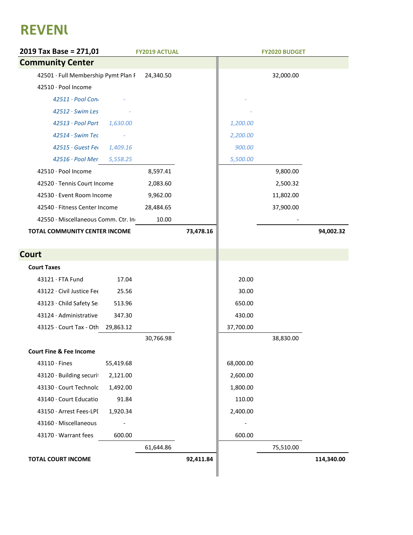## **REVENU**

| 2019 Tax Base = 271,01              |           | <b>FY2019 ACTUAL</b> |           |           | <b>FY2020 BUDGET</b> |            |
|-------------------------------------|-----------|----------------------|-----------|-----------|----------------------|------------|
| <b>Community Center</b>             |           |                      |           |           |                      |            |
| 42501 · Full Membership Pymt Plan F |           | 24,340.50            |           |           | 32,000.00            |            |
| 42510 · Pool Income                 |           |                      |           |           |                      |            |
| 42511 · Pool Con                    |           |                      |           |           |                      |            |
| 42512 · Swim Les                    |           |                      |           |           |                      |            |
| 42513 · Pool Part                   | 1,630.00  |                      |           | 1,200.00  |                      |            |
| 42514 · Swim Tec                    |           |                      |           | 2,200.00  |                      |            |
| 42515 · Guest Fer                   | 1,409.16  |                      |           | 900.00    |                      |            |
| 42516 · Pool Mer                    | 5,558.25  |                      |           | 5,500.00  |                      |            |
| 42510 · Pool Income                 |           | 8,597.41             |           |           | 9,800.00             |            |
| 42520 · Tennis Court Income         |           | 2,083.60             |           |           | 2,500.32             |            |
| 42530 · Event Room Income           |           | 9,962.00             |           |           | 11,802.00            |            |
| 42540 · Fitness Center Income       |           | 28,484.65            |           |           | 37,900.00            |            |
| 42550 · Miscellaneous Comm. Ctr. In |           | 10.00                |           |           |                      |            |
| TOTAL COMMUNITY CENTER INCOME       |           |                      | 73,478.16 |           |                      | 94,002.32  |
|                                     |           |                      |           |           |                      |            |
| <b>Court</b>                        |           |                      |           |           |                      |            |
| <b>Court Taxes</b>                  |           |                      |           |           |                      |            |
| 43121 · FTA Fund                    | 17.04     |                      |           | 20.00     |                      |            |
| 43122 · Civil Justice Fee           | 25.56     |                      |           | 30.00     |                      |            |
| 43123 · Child Safety Se             | 513.96    |                      |           | 650.00    |                      |            |
| 43124 · Administrative              | 347.30    |                      |           | 430.00    |                      |            |
| 43125 · Court Tax - Oth             | 29,863.12 |                      |           | 37,700.00 |                      |            |
|                                     |           | 30,766.98            |           |           | 38,830.00            |            |
| <b>Court Fine &amp; Fee Income</b>  |           |                      |           |           |                      |            |
| $43110 \cdot$ Fines                 | 55,419.68 |                      |           | 68,000.00 |                      |            |
| 43120 · Building securit            | 2,121.00  |                      |           | 2,600.00  |                      |            |
| 43130 · Court Technolc              | 1,492.00  |                      |           | 1,800.00  |                      |            |
| 43140 · Court Educatio              | 91.84     |                      |           | 110.00    |                      |            |
| 43150 · Arrest Fees-LPI             | 1,920.34  |                      |           | 2,400.00  |                      |            |
| 43160 · Miscellaneous               |           |                      |           |           |                      |            |
| 43170 · Warrant fees                | 600.00    |                      |           | 600.00    |                      |            |
|                                     |           | 61,644.86            |           |           | 75,510.00            |            |
| <b>TOTAL COURT INCOME</b>           |           |                      | 92,411.84 |           |                      | 114,340.00 |
|                                     |           |                      |           |           |                      |            |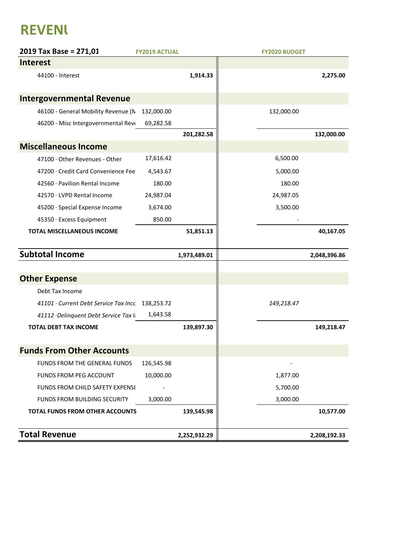### **REVENU**

| 2019 Tax Base = 271,01                           | <b>FY2019 ACTUAL</b> |              | <b>FY2020 BUDGET</b> |
|--------------------------------------------------|----------------------|--------------|----------------------|
| <b>Interest</b>                                  |                      |              |                      |
| 44100 - Interest                                 |                      | 1,914.33     | 2,275.00             |
| <b>Intergovernmental Revenue</b>                 |                      |              |                      |
| 46100 - General Mobility Revenue (N              | 132,000.00           |              | 132,000.00           |
| 46200 - Misc Intergovernmental Revo              | 69,282.58            |              |                      |
|                                                  |                      | 201,282.58   | 132,000.00           |
| <b>Miscellaneous Income</b>                      |                      |              |                      |
| 47100 · Other Revenues - Other                   | 17,616.42            |              | 6,500.00             |
| 47200 · Credit Card Convenience Fee              | 4,543.67             |              | 5,000.00             |
| 42560 · Pavilion Rental Income                   | 180.00               |              | 180.00               |
| 42570 · LVPD Rental Income                       | 24,987.04            |              | 24,987.05            |
| 45200 · Special Expense Income                   | 3,674.00             |              | 3,500.00             |
| 45350 · Excess Equipment                         | 850.00               |              |                      |
| <b>TOTAL MISCELLANEOUS INCOME</b>                |                      | 51,851.13    | 40,167.05            |
| <b>Subtotal Income</b>                           |                      | 1,973,489.01 | 2,048,396.86         |
|                                                  |                      |              |                      |
| <b>Other Expense</b>                             |                      |              |                      |
| Debt Tax Income                                  |                      |              |                      |
| 41101 · Current Debt Service Tax Incc 138,253.72 |                      |              | 149,218.47           |
| 41112 · Delinquent Debt Service Tax I.           | 1,643.58             |              |                      |
| <b>TOTAL DEBT TAX INCOME</b>                     |                      | 139,897.30   | 149,218.47           |
| <b>Funds From Other Accounts</b>                 |                      |              |                      |
| FUNDS FROM THE GENERAL FUNDS                     | 126,545.98           |              |                      |
| <b>FUNDS FROM PEG ACCOUNT</b>                    | 10,000.00            |              | 1,877.00             |
| FUNDS FROM CHILD SAFETY EXPENSI                  |                      |              | 5,700.00             |
| <b>FUNDS FROM BUILDING SECURITY</b>              | 3,000.00             |              | 3,000.00             |
| <b>TOTAL FUNDS FROM OTHER ACCOUNTS</b>           |                      | 139,545.98   | 10,577.00            |
| <b>Total Revenue</b>                             |                      | 2,252,932.29 | 2,208,192.33         |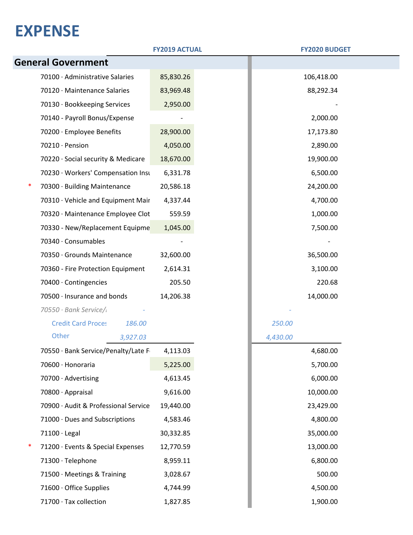|                                        | <b>FY2019 ACTUAL</b> | <b>FY2020 BUDGET</b> |  |
|----------------------------------------|----------------------|----------------------|--|
| <b>General Government</b>              |                      |                      |  |
| 70100 · Administrative Salaries        | 85,830.26            | 106,418.00           |  |
| 70120 · Maintenance Salaries           | 83,969.48            | 88,292.34            |  |
| 70130 · Bookkeeping Services           | 2,950.00             |                      |  |
| 70140 - Payroll Bonus/Expense          |                      | 2,000.00             |  |
| 70200 · Employee Benefits              | 28,900.00            | 17,173.80            |  |
| 70210 · Pension                        | 4,050.00             | 2,890.00             |  |
| 70220 · Social security & Medicare     | 18,670.00            | 19,900.00            |  |
| 70230 · Workers' Compensation Insu     | 6,331.78             | 6,500.00             |  |
| 70300 · Building Maintenance           | 20,586.18            | 24,200.00            |  |
| 70310 · Vehicle and Equipment Mair     | 4,337.44             | 4,700.00             |  |
| 70320 · Maintenance Employee Clot      | 559.59               | 1,000.00             |  |
| 70330 - New/Replacement Equipme        | 1,045.00             | 7,500.00             |  |
| 70340 · Consumables                    |                      |                      |  |
| 70350 Grounds Maintenance              | 32,600.00            | 36,500.00            |  |
| 70360 - Fire Protection Equipment      | 2,614.31             | 3,100.00             |  |
| 70400 Contingencies                    | 205.50               | 220.68               |  |
| 70500 · Insurance and bonds            | 14,206.38            | 14,000.00            |  |
| 70550 · Bank Service/                  |                      |                      |  |
| <b>Credit Card Proces</b><br>186.00    |                      | 250.00               |  |
| Other<br>3,927.03                      |                      | 4,430.00             |  |
| 70550 · Bank Service/Penalty/Late F    | 4,113.03             | 4,680.00             |  |
| 70600 · Honoraria                      | 5,225.00             | 5,700.00             |  |
| 70700 · Advertising                    | 4,613.45             | 6,000.00             |  |
| 70800 Appraisal                        | 9,616.00             | 10,000.00            |  |
| 70900 Audit & Professional Service     | 19,440.00            | 23,429.00            |  |
| 71000 · Dues and Subscriptions         | 4,583.46             | 4,800.00             |  |
| $71100 \cdot$ Legal                    | 30,332.85            | 35,000.00            |  |
| ∗<br>71200 · Events & Special Expenses | 12,770.59            | 13,000.00            |  |
| 71300 · Telephone                      | 8,959.11             | 6,800.00             |  |
| 71500 · Meetings & Training            | 3,028.67             | 500.00               |  |
| 71600 · Office Supplies                | 4,744.99             | 4,500.00             |  |
| 71700 · Tax collection                 | 1,827.85             | 1,900.00             |  |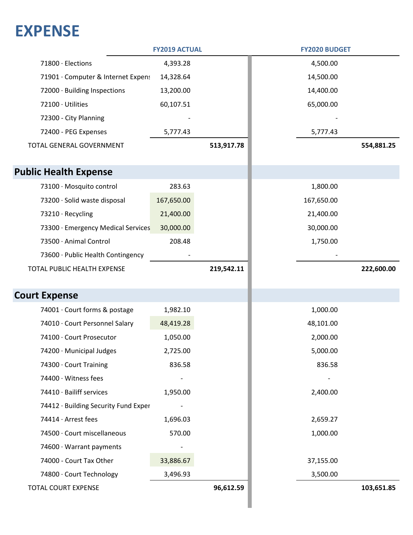|                                      | <b>FY2019 ACTUAL</b> |            | <b>FY2020 BUDGET</b> |            |
|--------------------------------------|----------------------|------------|----------------------|------------|
| 71800 Elections                      | 4,393.28             |            | 4,500.00             |            |
| 71901 · Computer & Internet Expens   | 14,328.64            |            | 14,500.00            |            |
| 72000 · Building Inspections         | 13,200.00            |            | 14,400.00            |            |
| 72100 · Utilities                    | 60,107.51            |            | 65,000.00            |            |
| 72300 - City Planning                |                      |            |                      |            |
| 72400 - PEG Expenses                 | 5,777.43             |            | 5,777.43             |            |
| TOTAL GENERAL GOVERNMENT             |                      | 513,917.78 |                      | 554,881.25 |
| <b>Public Health Expense</b>         |                      |            |                      |            |
| 73100 · Mosquito control             | 283.63               |            | 1,800.00             |            |
| 73200 · Solid waste disposal         | 167,650.00           |            | 167,650.00           |            |
| 73210 · Recycling                    | 21,400.00            |            | 21,400.00            |            |
| 73300 · Emergency Medical Services   | 30,000.00            |            | 30,000.00            |            |
| 73500 · Animal Control               | 208.48               |            | 1,750.00             |            |
| 73600 · Public Health Contingency    |                      |            |                      |            |
| TOTAL PUBLIC HEALTH EXPENSE          |                      | 219,542.11 |                      | 222,600.00 |
|                                      |                      |            |                      |            |
| <b>Court Expense</b>                 |                      |            |                      |            |
| 74001 · Court forms & postage        | 1,982.10             |            | 1,000.00             |            |
| 74010 · Court Personnel Salary       | 48,419.28            |            | 48,101.00            |            |
| 74100 · Court Prosecutor             | 1,050.00             |            | 2,000.00             |            |
| 74200 · Municipal Judges             | 2,725.00             |            | 5,000.00             |            |
| 74300 Court Training                 | 836.58               |            | 836.58               |            |
| 74400 · Witness fees                 |                      |            |                      |            |
| 74410 · Bailiff services             | 1,950.00             |            | 2,400.00             |            |
| 74412 · Building Security Fund Exper |                      |            |                      |            |
| 74414 · Arrest fees                  | 1,696.03             |            | 2,659.27             |            |
| 74500 · Court miscellaneous          | 570.00               |            | 1,000.00             |            |
| 74600 · Warrant payments             |                      |            |                      |            |
| 74000 - Court Tax Other              | 33,886.67            |            | 37,155.00            |            |
| 74800 · Court Technology             | 3,496.93             |            | 3,500.00             |            |
| TOTAL COURT EXPENSE                  |                      | 96,612.59  |                      | 103,651.85 |
|                                      |                      |            |                      |            |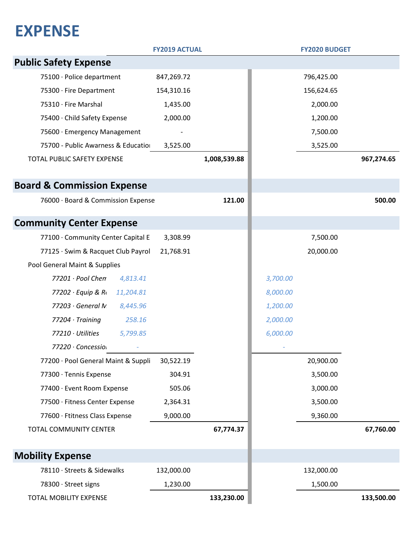|                                       | <b>FY2019 ACTUAL</b> |              |          | <b>FY2020 BUDGET</b> |            |
|---------------------------------------|----------------------|--------------|----------|----------------------|------------|
| <b>Public Safety Expense</b>          |                      |              |          |                      |            |
| 75100 · Police department             | 847,269.72           |              |          | 796,425.00           |            |
| 75300 · Fire Department               | 154,310.16           |              |          | 156,624.65           |            |
| 75310 · Fire Marshal                  | 1,435.00             |              |          | 2,000.00             |            |
| 75400 · Child Safety Expense          | 2,000.00             |              |          | 1,200.00             |            |
| 75600 · Emergency Management          |                      |              |          | 7,500.00             |            |
| 75700 - Public Awarness & Education   | 3,525.00             |              |          | 3,525.00             |            |
| TOTAL PUBLIC SAFETY EXPENSE           |                      | 1,008,539.88 |          |                      | 967,274.65 |
| <b>Board &amp; Commission Expense</b> |                      |              |          |                      |            |
| 76000 · Board & Commission Expense    |                      | 121.00       |          |                      | 500.00     |
| <b>Community Center Expense</b>       |                      |              |          |                      |            |
| 77100 Community Center Capital E      | 3,308.99             |              |          | 7,500.00             |            |
| 77125 · Swim & Racquet Club Payrol    | 21,768.91            |              |          | 20,000.00            |            |
| Pool General Maint & Supplies         |                      |              |          |                      |            |
| 77201 · Pool Chen<br>4,813.41         |                      |              | 3,700.00 |                      |            |
| 77202 · Equip & Ri<br>11,204.81       |                      |              | 8,000.00 |                      |            |
| $77203 \cdot$ General M<br>8,445.96   |                      |              | 1,200.00 |                      |            |
| $77204 \cdot Training$<br>258.16      |                      |              | 2,000.00 |                      |            |
| 77210 · Utilities<br>5,799.85         |                      |              | 6,000.00 |                      |            |
| 77220 · Concessior                    |                      |              |          |                      |            |
| 77200 · Pool General Maint & Suppli   | 30,522.19            |              |          | 20,900.00            |            |
| 77300 · Tennis Expense                | 304.91               |              |          | 3,500.00             |            |
| 77400 · Event Room Expense            | 505.06               |              |          | 3,000.00             |            |
| 77500 · Fitness Center Expense        | 2,364.31             |              |          | 3,500.00             |            |
| 77600 · Ftitness Class Expense        | 9,000.00             |              |          | 9,360.00             |            |
| TOTAL COMMUNITY CENTER                |                      | 67,774.37    |          |                      | 67,760.00  |
| <b>Mobility Expense</b>               |                      |              |          |                      |            |
| 78110 · Streets & Sidewalks           | 132,000.00           |              |          | 132,000.00           |            |
| 78300 · Street signs                  | 1,230.00             |              |          | 1,500.00             |            |
| TOTAL MOBILITY EXPENSE                |                      | 133,230.00   |          |                      | 133,500.00 |